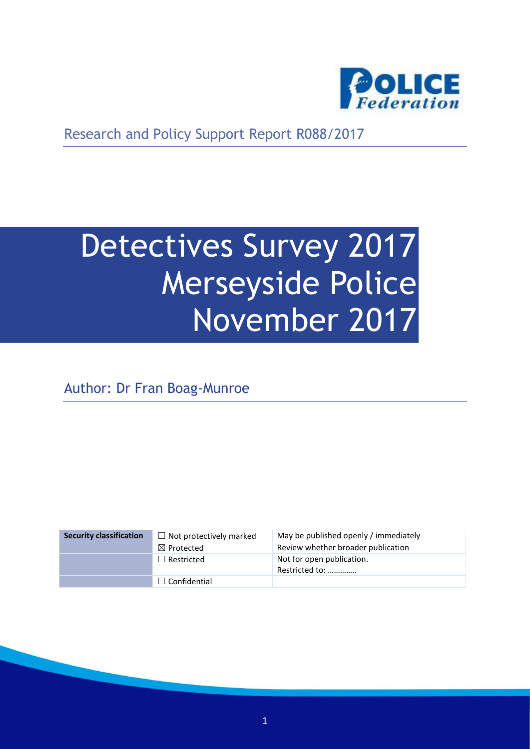

Research and Policy Support Report R088/2017

# Detectives Survey 2017 Merseyside Police November 2017

Author: Dr Fran Boag-Munroe

| <b>Security classification</b> | $\Box$ Not protectively marked | May be published openly / immediately       |
|--------------------------------|--------------------------------|---------------------------------------------|
|                                | $\boxtimes$ Protected          | Review whether broader publication          |
|                                | $\Box$ Restricted              | Not for open publication.<br>Restricted to: |
|                                | $\Box$ Confidential            |                                             |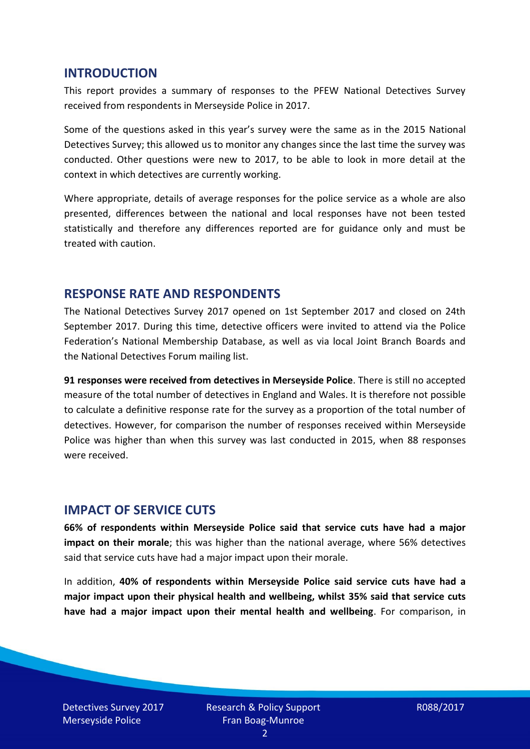#### **INTRODUCTION**

This report provides a summary of responses to the PFEW National Detectives Survey received from respondents in Merseyside Police in 2017.

Some of the questions asked in this year's survey were the same as in the 2015 National Detectives Survey; this allowed us to monitor any changes since the last time the survey was conducted. Other questions were new to 2017, to be able to look in more detail at the context in which detectives are currently working.

Where appropriate, details of average responses for the police service as a whole are also presented, differences between the national and local responses have not been tested statistically and therefore any differences reported are for guidance only and must be treated with caution.

#### **RESPONSE RATE AND RESPONDENTS**

The National Detectives Survey 2017 opened on 1st September 2017 and closed on 24th September 2017. During this time, detective officers were invited to attend via the Police Federation's National Membership Database, as well as via local Joint Branch Boards and the National Detectives Forum mailing list.

**91 responses were received from detectives in Merseyside Police**. There is still no accepted measure of the total number of detectives in England and Wales. It is therefore not possible to calculate a definitive response rate for the survey as a proportion of the total number of detectives. However, for comparison the number of responses received within Merseyside Police was higher than when this survey was last conducted in 2015, when 88 responses were received.

#### **IMPACT OF SERVICE CUTS**

**66% of respondents within Merseyside Police said that service cuts have had a major impact on their morale**; this was higher than the national average, where 56% detectives said that service cuts have had a major impact upon their morale.

In addition, **40% of respondents within Merseyside Police said service cuts have had a major impact upon their physical health and wellbeing, whilst 35% said that service cuts have had a major impact upon their mental health and wellbeing**. For comparison, in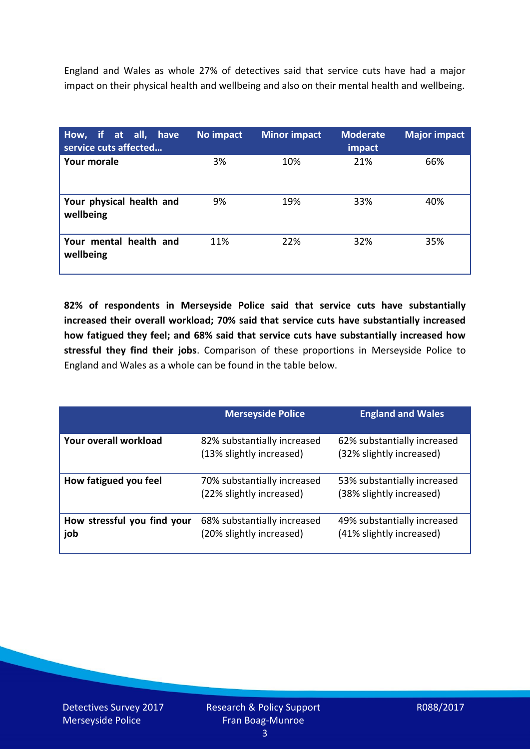England and Wales as whole 27% of detectives said that service cuts have had a major impact on their physical health and wellbeing and also on their mental health and wellbeing.

| How, if at all, have<br>service cuts affected | No impact | <b>Minor impact</b> | <b>Moderate</b><br>impact | <b>Major impact</b> |
|-----------------------------------------------|-----------|---------------------|---------------------------|---------------------|
| Your morale                                   | 3%        | 10%                 | 21%                       | 66%                 |
| Your physical health and<br>wellbeing         | 9%        | 19%                 | 33%                       | 40%                 |
| Your mental health and<br>wellbeing           | 11%       | 22%                 | 32%                       | 35%                 |

**82% of respondents in Merseyside Police said that service cuts have substantially increased their overall workload; 70% said that service cuts have substantially increased how fatigued they feel; and 68% said that service cuts have substantially increased how stressful they find their jobs**. Comparison of these proportions in Merseyside Police to England and Wales as a whole can be found in the table below.

|                                    | <b>Merseyside Police</b>                                | <b>England and Wales</b>                                |
|------------------------------------|---------------------------------------------------------|---------------------------------------------------------|
| Your overall workload              | 82% substantially increased<br>(13% slightly increased) | 62% substantially increased<br>(32% slightly increased) |
| How fatigued you feel              | 70% substantially increased<br>(22% slightly increased) | 53% substantially increased<br>(38% slightly increased) |
| How stressful you find your<br>job | 68% substantially increased<br>(20% slightly increased) | 49% substantially increased<br>(41% slightly increased) |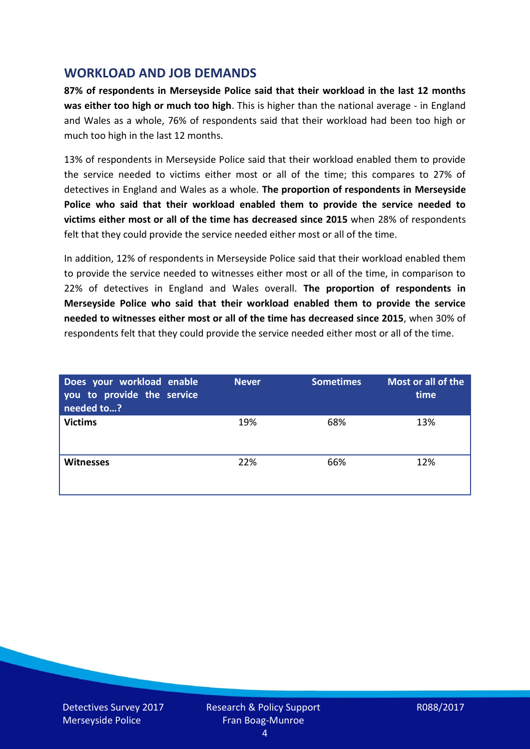## **WORKLOAD AND JOB DEMANDS**

**87% of respondents in Merseyside Police said that their workload in the last 12 months was either too high or much too high**. This is higher than the national average - in England and Wales as a whole, 76% of respondents said that their workload had been too high or much too high in the last 12 months.

13% of respondents in Merseyside Police said that their workload enabled them to provide the service needed to victims either most or all of the time; this compares to 27% of detectives in England and Wales as a whole. **The proportion of respondents in Merseyside Police who said that their workload enabled them to provide the service needed to victims either most or all of the time has decreased since 2015** when 28% of respondents felt that they could provide the service needed either most or all of the time.

In addition, 12% of respondents in Merseyside Police said that their workload enabled them to provide the service needed to witnesses either most or all of the time, in comparison to 22% of detectives in England and Wales overall. **The proportion of respondents in Merseyside Police who said that their workload enabled them to provide the service needed to witnesses either most or all of the time has decreased since 2015**, when 30% of respondents felt that they could provide the service needed either most or all of the time.

| Does your workload enable<br>you to provide the service<br>needed to? | <b>Never</b> | <b>Sometimes</b> | Most or all of the<br>time |
|-----------------------------------------------------------------------|--------------|------------------|----------------------------|
| <b>Victims</b>                                                        | 19%          | 68%              | 13%                        |
| <b>Witnesses</b>                                                      | 22%          | 66%              | 12%                        |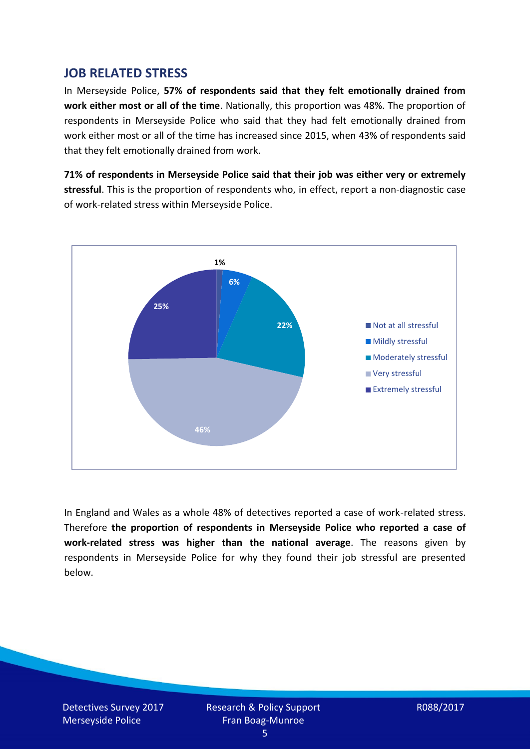## **JOB RELATED STRESS**

In Merseyside Police, **57% of respondents said that they felt emotionally drained from work either most or all of the time**. Nationally, this proportion was 48%. The proportion of respondents in Merseyside Police who said that they had felt emotionally drained from work either most or all of the time has increased since 2015, when 43% of respondents said that they felt emotionally drained from work.

**71% of respondents in Merseyside Police said that their job was either very or extremely stressful**. This is the proportion of respondents who, in effect, report a non-diagnostic case of work-related stress within Merseyside Police.



In England and Wales as a whole 48% of detectives reported a case of work-related stress. Therefore **the proportion of respondents in Merseyside Police who reported a case of work-related stress was higher than the national average**. The reasons given by respondents in Merseyside Police for why they found their job stressful are presented below.

Detectives Survey 2017 Merseyside Police

Research & Policy Support Fran Boag-Munroe

R088/2017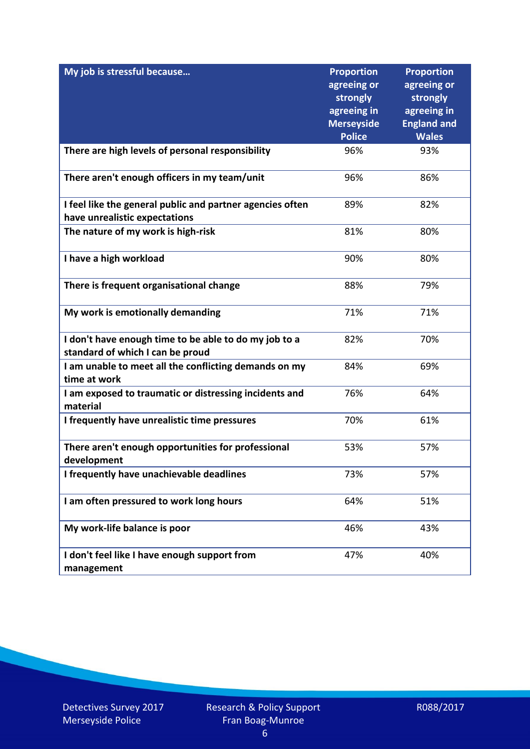| My job is stressful because                                                                | <b>Proportion</b><br>agreeing or<br>strongly<br>agreeing in | <b>Proportion</b><br>agreeing or<br>strongly<br>agreeing in |
|--------------------------------------------------------------------------------------------|-------------------------------------------------------------|-------------------------------------------------------------|
|                                                                                            | <b>Merseyside</b><br><b>Police</b>                          | <b>England and</b><br><b>Wales</b>                          |
| There are high levels of personal responsibility                                           | 96%                                                         | 93%                                                         |
| There aren't enough officers in my team/unit                                               | 96%                                                         | 86%                                                         |
| I feel like the general public and partner agencies often<br>have unrealistic expectations | 89%                                                         | 82%                                                         |
| The nature of my work is high-risk                                                         | 81%                                                         | 80%                                                         |
| I have a high workload                                                                     | 90%                                                         | 80%                                                         |
| There is frequent organisational change                                                    | 88%                                                         | 79%                                                         |
| My work is emotionally demanding                                                           | 71%                                                         | 71%                                                         |
| I don't have enough time to be able to do my job to a<br>standard of which I can be proud  | 82%                                                         | 70%                                                         |
| I am unable to meet all the conflicting demands on my<br>time at work                      | 84%                                                         | 69%                                                         |
| I am exposed to traumatic or distressing incidents and<br>material                         | 76%                                                         | 64%                                                         |
| I frequently have unrealistic time pressures                                               | 70%                                                         | 61%                                                         |
| There aren't enough opportunities for professional<br>development                          | 53%                                                         | 57%                                                         |
| I frequently have unachievable deadlines                                                   | 73%                                                         | 57%                                                         |
| I am often pressured to work long hours                                                    | 64%                                                         | 51%                                                         |
| My work-life balance is poor                                                               | 46%                                                         | 43%                                                         |
| I don't feel like I have enough support from<br>management                                 | 47%                                                         | 40%                                                         |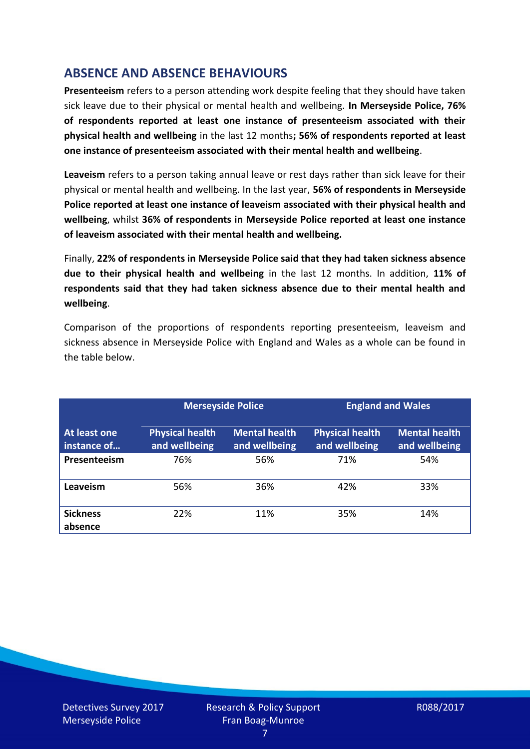# **ABSENCE AND ABSENCE BEHAVIOURS**

**Presenteeism** refers to a person attending work despite feeling that they should have taken sick leave due to their physical or mental health and wellbeing. **In Merseyside Police, 76% of respondents reported at least one instance of presenteeism associated with their physical health and wellbeing** in the last 12 months**; 56% of respondents reported at least one instance of presenteeism associated with their mental health and wellbeing**.

**Leaveism** refers to a person taking annual leave or rest days rather than sick leave for their physical or mental health and wellbeing. In the last year, **56% of respondents in Merseyside Police reported at least one instance of leaveism associated with their physical health and wellbeing**, whilst **36% of respondents in Merseyside Police reported at least one instance of leaveism associated with their mental health and wellbeing.**

Finally, **22% of respondents in Merseyside Police said that they had taken sickness absence due to their physical health and wellbeing** in the last 12 months. In addition, **11% of respondents said that they had taken sickness absence due to their mental health and wellbeing**.

Comparison of the proportions of respondents reporting presenteeism, leaveism and sickness absence in Merseyside Police with England and Wales as a whole can be found in the table below.

|                             |                                         | <b>Merseyside Police</b>              |                                         | <b>England and Wales</b>              |
|-----------------------------|-----------------------------------------|---------------------------------------|-----------------------------------------|---------------------------------------|
| At least one<br>instance of | <b>Physical health</b><br>and wellbeing | <b>Mental health</b><br>and wellbeing | <b>Physical health</b><br>and wellbeing | <b>Mental health</b><br>and wellbeing |
| Presenteeism                | 76%                                     | 56%                                   | 71%                                     | 54%                                   |
| Leaveism                    | 56%                                     | 36%                                   | 42%                                     | 33%                                   |
| <b>Sickness</b><br>absence  | 22%                                     | 11%                                   | 35%                                     | 14%                                   |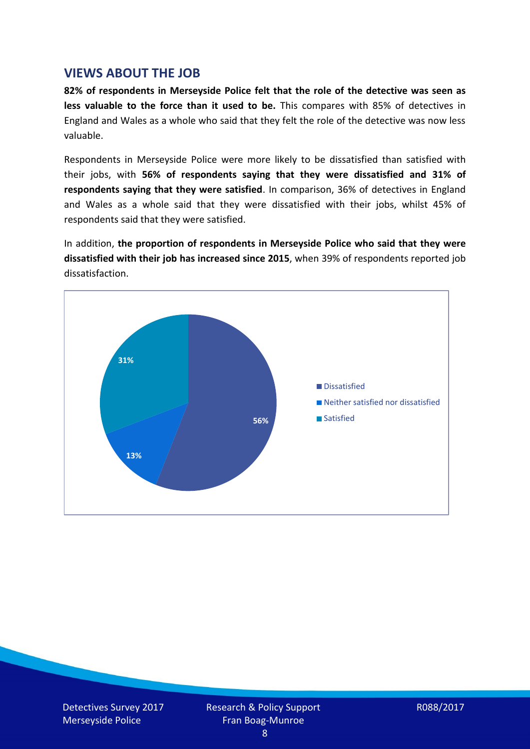### **VIEWS ABOUT THE JOB**

**82% of respondents in Merseyside Police felt that the role of the detective was seen as less valuable to the force than it used to be.** This compares with 85% of detectives in England and Wales as a whole who said that they felt the role of the detective was now less valuable.

Respondents in Merseyside Police were more likely to be dissatisfied than satisfied with their jobs, with **56% of respondents saying that they were dissatisfied and 31% of respondents saying that they were satisfied**. In comparison, 36% of detectives in England and Wales as a whole said that they were dissatisfied with their jobs, whilst 45% of respondents said that they were satisfied.

In addition, **the proportion of respondents in Merseyside Police who said that they were dissatisfied with their job has increased since 2015**, when 39% of respondents reported job dissatisfaction.

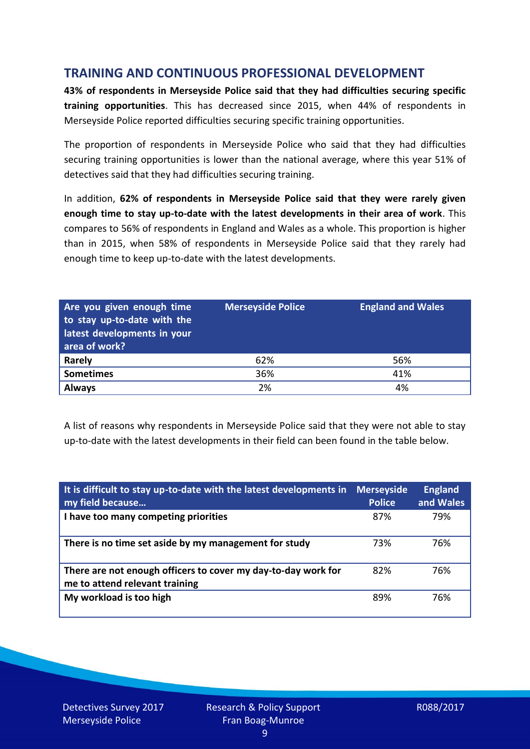## **TRAINING AND CONTINUOUS PROFESSIONAL DEVELOPMENT**

**43% of respondents in Merseyside Police said that they had difficulties securing specific training opportunities**. This has decreased since 2015, when 44% of respondents in Merseyside Police reported difficulties securing specific training opportunities.

The proportion of respondents in Merseyside Police who said that they had difficulties securing training opportunities is lower than the national average, where this year 51% of detectives said that they had difficulties securing training.

In addition, **62% of respondents in Merseyside Police said that they were rarely given enough time to stay up-to-date with the latest developments in their area of work**. This compares to 56% of respondents in England and Wales as a whole. This proportion is higher than in 2015, when 58% of respondents in Merseyside Police said that they rarely had enough time to keep up-to-date with the latest developments.

| Are you given enough time<br>to stay up-to-date with the<br>latest developments in your<br>area of work? | <b>Merseyside Police</b> | <b>England and Wales</b> |
|----------------------------------------------------------------------------------------------------------|--------------------------|--------------------------|
| <b>Rarely</b>                                                                                            | 62%                      | 56%                      |
| <b>Sometimes</b>                                                                                         | 36%                      | 41%                      |
| <b>Always</b>                                                                                            | 2%                       | 4%                       |

A list of reasons why respondents in Merseyside Police said that they were not able to stay up-to-date with the latest developments in their field can been found in the table below.

| It is difficult to stay up-to-date with the latest developments in<br>my field because          | <b>Merseyside</b><br><b>Police</b> | <b>England</b><br>and Wales |
|-------------------------------------------------------------------------------------------------|------------------------------------|-----------------------------|
| I have too many competing priorities                                                            | 87%                                | 79%                         |
| There is no time set aside by my management for study                                           | 73%                                | 76%                         |
| There are not enough officers to cover my day-to-day work for<br>me to attend relevant training | 82%                                | 76%                         |
| My workload is too high                                                                         | 89%                                | 76%                         |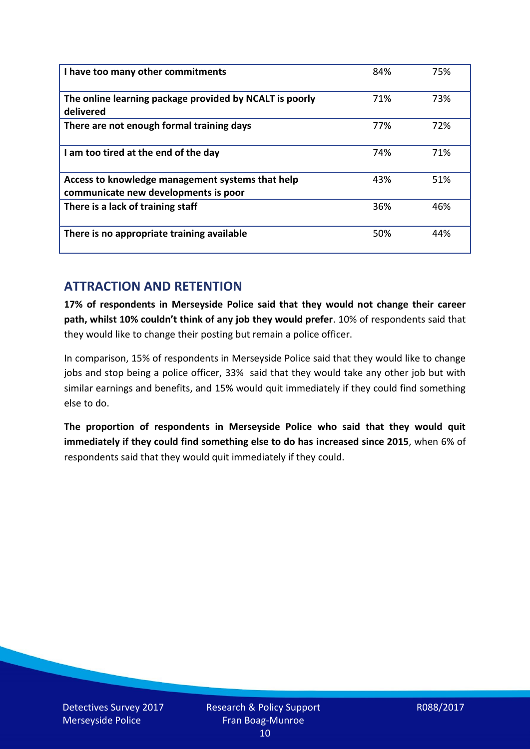| I have too many other commitments                                                        | 84% | 75% |
|------------------------------------------------------------------------------------------|-----|-----|
| The online learning package provided by NCALT is poorly<br>delivered                     | 71% | 73% |
| There are not enough formal training days                                                | 77% | 72% |
| I am too tired at the end of the day                                                     | 74% | 71% |
| Access to knowledge management systems that help<br>communicate new developments is poor | 43% | 51% |
| There is a lack of training staff                                                        | 36% | 46% |
| There is no appropriate training available                                               | 50% | 44% |

## **ATTRACTION AND RETENTION**

**17% of respondents in Merseyside Police said that they would not change their career path, whilst 10% couldn't think of any job they would prefer**. 10% of respondents said that they would like to change their posting but remain a police officer.

In comparison, 15% of respondents in Merseyside Police said that they would like to change jobs and stop being a police officer, 33% said that they would take any other job but with similar earnings and benefits, and 15% would quit immediately if they could find something else to do.

**The proportion of respondents in Merseyside Police who said that they would quit immediately if they could find something else to do has increased since 2015**, when 6% of respondents said that they would quit immediately if they could.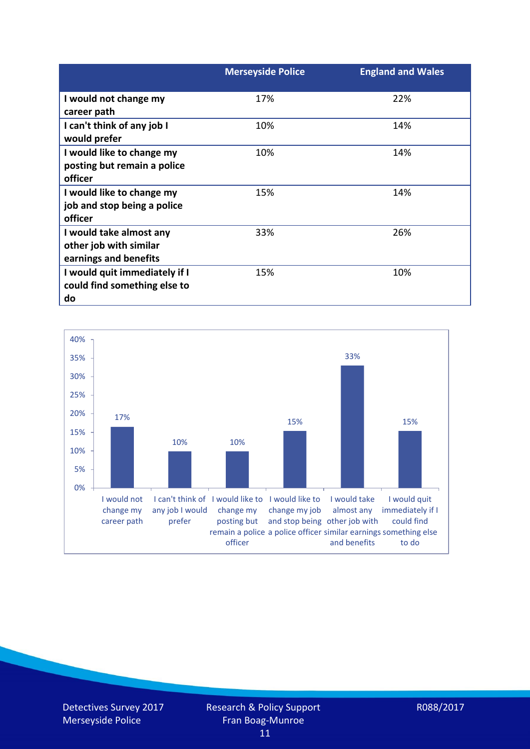|                               | <b>Merseyside Police</b> | <b>England and Wales</b> |
|-------------------------------|--------------------------|--------------------------|
| I would not change my         | 17%                      | 22%                      |
| career path                   |                          |                          |
| I can't think of any job I    | 10%                      | 14%                      |
| would prefer                  |                          |                          |
| I would like to change my     | 10%                      | 14%                      |
| posting but remain a police   |                          |                          |
| officer                       |                          |                          |
| I would like to change my     | 15%                      | 14%                      |
| job and stop being a police   |                          |                          |
| officer                       |                          |                          |
| I would take almost any       | 33%                      | 26%                      |
| other job with similar        |                          |                          |
| earnings and benefits         |                          |                          |
| I would quit immediately if I | 15%                      | 10%                      |
| could find something else to  |                          |                          |
| do                            |                          |                          |